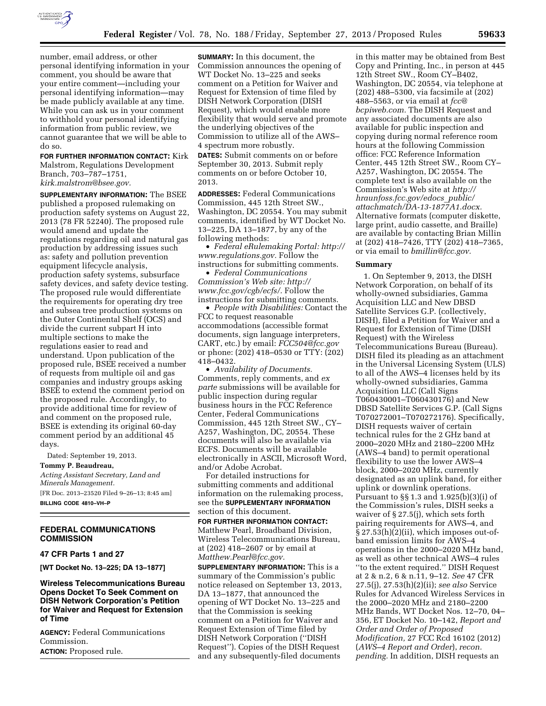

number, email address, or other personal identifying information in your comment, you should be aware that your entire comment—including your personal identifying information—may be made publicly available at any time. While you can ask us in your comment to withhold your personal identifying information from public review, we cannot guarantee that we will be able to do so.

**FOR FURTHER INFORMATION CONTACT:** Kirk Malstrom, Regulations Development Branch, 703–787–1751, *[kirk.malstrom@bsee.gov.](mailto:kirk.malstrom@bsee.gov)* 

**SUPPLEMENTARY INFORMATION:** The BSEE published a proposed rulemaking on production safety systems on August 22, 2013 (78 FR 52240). The proposed rule would amend and update the regulations regarding oil and natural gas production by addressing issues such as: safety and pollution prevention equipment lifecycle analysis, production safety systems, subsurface safety devices, and safety device testing. The proposed rule would differentiate the requirements for operating dry tree and subsea tree production systems on the Outer Continental Shelf (OCS) and divide the current subpart H into multiple sections to make the regulations easier to read and understand. Upon publication of the proposed rule, BSEE received a number of requests from multiple oil and gas companies and industry groups asking BSEE to extend the comment period on the proposed rule. Accordingly, to provide additional time for review of and comment on the proposed rule, BSEE is extending its original 60-day comment period by an additional 45 days.

Dated: September 19, 2013. **Tommy P. Beaudreau,**  *Acting Assistant Secretary, Land and Minerals Management.*  [FR Doc. 2013–23520 Filed 9–26–13; 8:45 am] **BILLING CODE 4810–VH–P** 

# **FEDERAL COMMUNICATIONS COMMISSION**

#### **47 CFR Parts 1 and 27**

**[WT Docket No. 13–225; DA 13–1877]** 

**Wireless Telecommunications Bureau Opens Docket To Seek Comment on DISH Network Corporation's Petition for Waiver and Request for Extension of Time** 

**AGENCY:** Federal Communications Commission. **ACTION:** Proposed rule.

**SUMMARY:** In this document, the Commission announces the opening of WT Docket No. 13–225 and seeks comment on a Petition for Waiver and Request for Extension of time filed by DISH Network Corporation (DISH Request), which would enable more flexibility that would serve and promote the underlying objectives of the Commission to utilize all of the AWS– 4 spectrum more robustly.

**DATES:** Submit comments on or before September 30, 2013. Submit reply comments on or before October 10, 2013.

**ADDRESSES:** Federal Communications Commission, 445 12th Street SW., Washington, DC 20554. You may submit comments, identified by WT Docket No. 13–225, DA 13–1877, by any of the following methods:

• *Federal eRulemaking Portal: [http://](http://www.regulations.gov)  [www.regulations.gov.](http://www.regulations.gov)* Follow the instructions for submitting comments. • *Federal Communications* 

*Commission's Web site: [http://](http://www.fcc.gov/cgb/ecfs/) [www.fcc.gov/cgb/ecfs/.](http://www.fcc.gov/cgb/ecfs/)* Follow the instructions for submitting comments. • *People with Disabilities:* Contact the

FCC to request reasonable accommodations (accessible format documents, sign language interpreters, CART, etc.) by email: *[FCC504@fcc.gov](mailto:FCC504@fcc.gov)*  or phone: (202) 418–0530 or TTY: (202) 418–0432.

• *Availability of Documents.*  Comments, reply comments, and *ex parte* submissions will be available for public inspection during regular business hours in the FCC Reference Center, Federal Communications Commission, 445 12th Street SW., CY– A257, Washington, DC, 20554. These documents will also be available via ECFS. Documents will be available electronically in ASCII, Microsoft Word, and/or Adobe Acrobat.

For detailed instructions for submitting comments and additional information on the rulemaking process, see the **SUPPLEMENTARY INFORMATION** section of this document.

**FOR FURTHER INFORMATION CONTACT:**  Matthew Pearl, Broadband Division, Wireless Telecommunications Bureau, at (202) 418–2607 or by email at *[Matthew.Pearl@fcc.gov.](mailto:Matthew.Pearl@fcc.gov)* 

**SUPPLEMENTARY INFORMATION:** This is a summary of the Commission's public notice released on September 13, 2013, DA 13–1877, that announced the opening of WT Docket No. 13–225 and that the Commission is seeking comment on a Petition for Waiver and Request Extension of Time filed by DISH Network Corporation (''DISH Request''). Copies of the DISH Request and any subsequently-filed documents

in this matter may be obtained from Best Copy and Printing, Inc., in person at 445 12th Street SW., Room CY–B402, Washington, DC 20554, via telephone at (202) 488–5300, via facsimile at (202) 488–5563, or via email at *[fcc@](mailto:fcc@bcpiweb.com) [bcpiweb.com.](mailto:fcc@bcpiweb.com)* The DISH Request and any associated documents are also available for public inspection and copying during normal reference room hours at the following Commission office: FCC Reference Information Center, 445 12th Street SW., Room CY– A257, Washington, DC 20554. The complete text is also available on the Commission's Web site at *[http://](http://hraunfoss.fcc.gov/edocs_public/attachmatch/DA-13-1877A1.docx) [hraunfoss.fcc.gov/edocs](http://hraunfoss.fcc.gov/edocs_public/attachmatch/DA-13-1877A1.docx)*\_*public/ [attachmatch/DA-13-1877A1.docx.](http://hraunfoss.fcc.gov/edocs_public/attachmatch/DA-13-1877A1.docx)*  Alternative formats (computer diskette, large print, audio cassette, and Braille) are available by contacting Brian Millin at (202) 418–7426, TTY (202) 418–7365, or via email to *[bmillin@fcc.gov.](mailto:bmillin@fcc.gov)* 

#### **Summary**

1. On September 9, 2013, the DISH Network Corporation, on behalf of its wholly-owned subsidiaries, Gamma Acquisition LLC and New DBSD Satellite Services G.P. (collectively, DISH), filed a Petition for Waiver and a Request for Extension of Time (DISH Request) with the Wireless Telecommunications Bureau (Bureau). DISH filed its pleading as an attachment in the Universal Licensing System (ULS) to all of the AWS–4 licenses held by its wholly-owned subsidiaries, Gamma Acquisition LLC (Call Signs T060430001–T060430176) and New DBSD Satellite Services G.P. (Call Signs T070272001–T070272176). Specifically, DISH requests waiver of certain technical rules for the 2 GHz band at 2000–2020 MHz and 2180–2200 MHz (AWS–4 band) to permit operational flexibility to use the lower AWS–4 block, 2000–2020 MHz, currently designated as an uplink band, for either uplink or downlink operations. Pursuant to §§ 1.3 and 1.925(b)(3)(i) of the Commission's rules, DISH seeks a waiver of § 27.5(j), which sets forth pairing requirements for AWS–4, and § 27.53(h)(2)(ii), which imposes out-ofband emission limits for AWS–4 operations in the 2000–2020 MHz band, as well as other technical AWS–4 rules ''to the extent required.'' DISH Request at 2 & n.2, 6 & n.11, 9–12. *See* 47 CFR 27.5(j), 27.53(h)(2)(ii); *see also* Service Rules for Advanced Wireless Services in the 2000–2020 MHz and 2180–2200 MHz Bands, WT Docket Nos. 12–70, 04– 356, ET Docket No. 10–142, *Report and Order and Order of Proposed Modification,* 27 FCC Rcd 16102 (2012) (*AWS–4 Report and Order*), *recon. pending.* In addition, DISH requests an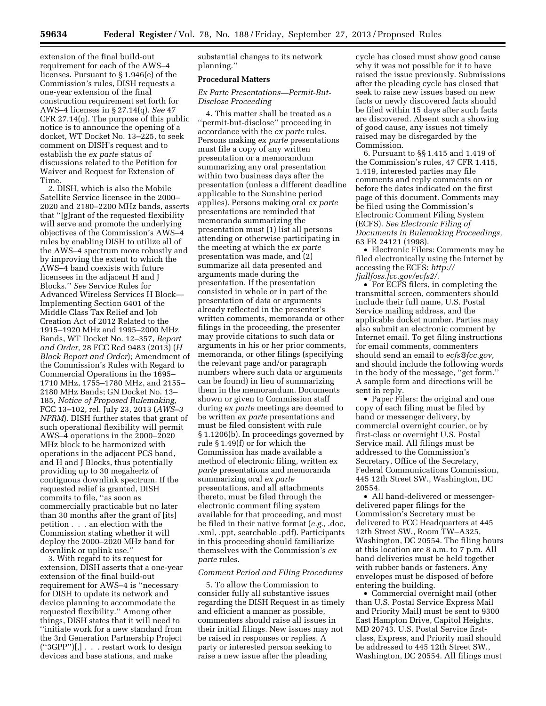extension of the final build-out requirement for each of the AWS–4 licenses. Pursuant to § 1.946(e) of the Commission's rules, DISH requests a one-year extension of the final construction requirement set forth for AWS–4 licenses in § 27.14(q). *See* 47 CFR 27.14(q). The purpose of this public notice is to announce the opening of a docket, WT Docket No. 13–225, to seek comment on DISH's request and to establish the *ex parte* status of discussions related to the Petition for Waiver and Request for Extension of Time.

2. DISH, which is also the Mobile Satellite Service licensee in the 2000– 2020 and 2180–2200 MHz bands, asserts that ''[g]rant of the requested flexibility will serve and promote the underlying objectives of the Commission's AWS–4 rules by enabling DISH to utilize all of the AWS–4 spectrum more robustly and by improving the extent to which the AWS–4 band coexists with future licensees in the adjacent H and J Blocks.'' *See* Service Rules for Advanced Wireless Services H Block— Implementing Section 6401 of the Middle Class Tax Relief and Job Creation Act of 2012 Related to the 1915–1920 MHz and 1995–2000 MHz Bands, WT Docket No. 12–357, *Report and Order,* 28 FCC Rcd 9483 (2013) (*H Block Report and Order*); Amendment of the Commission's Rules with Regard to Commercial Operations in the 1695– 1710 MHz, 1755–1780 MHz, and 2155– 2180 MHz Bands; GN Docket No. 13– 185, *Notice of Proposed Rulemaking,*  FCC 13–102, rel. July 23, 2013 (*AWS–3 NPRM*). DISH further states that grant of such operational flexibility will permit AWS–4 operations in the 2000–2020 MHz block to be harmonized with operations in the adjacent PCS band, and H and J Blocks, thus potentially providing up to 30 megahertz of contiguous downlink spectrum. If the requested relief is granted, DISH commits to file, ''as soon as commercially practicable but no later than 30 months after the grant of [its] petition . . . an election with the Commission stating whether it will deploy the 2000–2020 MHz band for downlink or uplink use.''

3. With regard to its request for extension, DISH asserts that a one-year extension of the final build-out requirement for AWS–4 is ''necessary for DISH to update its network and device planning to accommodate the requested flexibility.'' Among other things, DISH states that it will need to ''initiate work for a new standard from the 3rd Generation Partnership Project (''3GPP'')[,] . . . restart work to design devices and base stations, and make

substantial changes to its network planning.''

### **Procedural Matters**

### *Ex Parte Presentations—Permit-But-Disclose Proceeding*

4. This matter shall be treated as a ''permit-but-disclose'' proceeding in accordance with the *ex parte* rules. Persons making *ex parte* presentations must file a copy of any written presentation or a memorandum summarizing any oral presentation within two business days after the presentation (unless a different deadline applicable to the Sunshine period applies). Persons making oral *ex parte*  presentations are reminded that memoranda summarizing the presentation must (1) list all persons attending or otherwise participating in the meeting at which the *ex parte*  presentation was made, and (2) summarize all data presented and arguments made during the presentation. If the presentation consisted in whole or in part of the presentation of data or arguments already reflected in the presenter's written comments, memoranda or other filings in the proceeding, the presenter may provide citations to such data or arguments in his or her prior comments, memoranda, or other filings (specifying the relevant page and/or paragraph numbers where such data or arguments can be found) in lieu of summarizing them in the memorandum. Documents shown or given to Commission staff during *ex parte* meetings are deemed to be written *ex parte* presentations and must be filed consistent with rule § 1.1206(b). In proceedings governed by rule § 1.49(f) or for which the Commission has made available a method of electronic filing, written *ex parte* presentations and memoranda summarizing oral *ex parte*  presentations, and all attachments thereto, must be filed through the electronic comment filing system available for that proceeding, and must be filed in their native format (*e.g.,* .doc, .xml, .ppt, searchable .pdf). Participants in this proceeding should familiarize themselves with the Commission's *ex parte* rules.

#### *Comment Period and Filing Procedures*

5. To allow the Commission to consider fully all substantive issues regarding the DISH Request in as timely and efficient a manner as possible, commenters should raise all issues in their initial filings. New issues may not be raised in responses or replies. A party or interested person seeking to raise a new issue after the pleading

cycle has closed must show good cause why it was not possible for it to have raised the issue previously. Submissions after the pleading cycle has closed that seek to raise new issues based on new facts or newly discovered facts should be filed within 15 days after such facts are discovered. Absent such a showing of good cause, any issues not timely raised may be disregarded by the Commission.

6. Pursuant to §§ 1.415 and 1.419 of the Commission's rules, 47 CFR 1.415, 1.419, interested parties may file comments and reply comments on or before the dates indicated on the first page of this document. Comments may be filed using the Commission's Electronic Comment Filing System (ECFS). *See Electronic Filing of Documents in Rulemaking Proceedings,*  63 FR 24121 (1998).

• Electronic Filers: Comments may be filed electronically using the Internet by accessing the ECFS: *[http://](http://fjallfoss.fcc.gov/ecfs2/) [fjallfoss.fcc.gov/ecfs2/.](http://fjallfoss.fcc.gov/ecfs2/)* 

• For ECFS filers, in completing the transmittal screen, commenters should include their full name, U.S. Postal Service mailing address, and the applicable docket number. Parties may also submit an electronic comment by Internet email. To get filing instructions for email comments, commenters should send an email to *[ecfs@fcc.gov,](mailto:ecfs@fcc.gov)*  and should include the following words in the body of the message, ''get form.'' A sample form and directions will be sent in reply.

• Paper Filers: the original and one copy of each filing must be filed by hand or messenger delivery, by commercial overnight courier, or by first-class or overnight U.S. Postal Service mail. All filings must be addressed to the Commission's Secretary, Office of the Secretary, Federal Communications Commission, 445 12th Street SW., Washington, DC 20554.

• All hand-delivered or messengerdelivered paper filings for the Commission's Secretary must be delivered to FCC Headquarters at 445 12th Street SW., Room TW–A325, Washington, DC 20554. The filing hours at this location are 8 a.m. to 7 p.m. All hand deliveries must be held together with rubber bands or fasteners. Any envelopes must be disposed of before entering the building.

• Commercial overnight mail (other than U.S. Postal Service Express Mail and Priority Mail) must be sent to 9300 East Hampton Drive, Capitol Heights, MD 20743. U.S. Postal Service firstclass, Express, and Priority mail should be addressed to 445 12th Street SW., Washington, DC 20554. All filings must